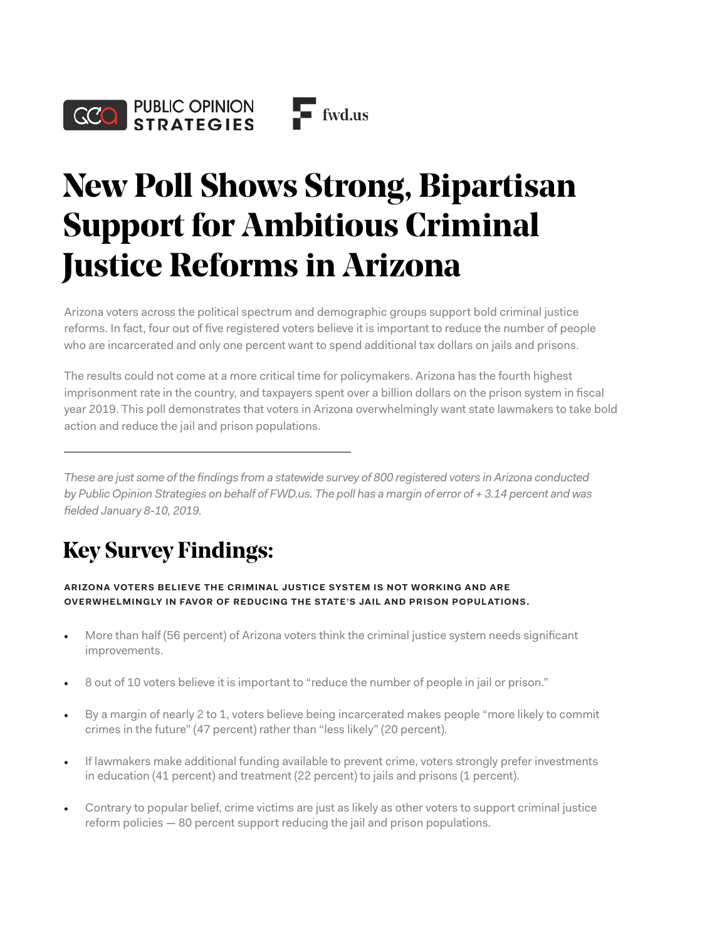

## **New Poll Shows Strong, Bipartisan Support for Ambitious Criminal Justice Reforms in Arizona**

Arizona voters across the political spectrum and demographic groups support bold criminal justice reforms. In fact, four out of five registered voters believe it is important to reduce the number of people who are incarcerated and only one percent want to spend additional tax dollars on jails and prisons.

The results could not come at a more critical time for policymakers. Arizona has the fourth highest imprisonment rate in the country, and taxpayers spent over a billion dollars on the prison system in fiscal year 2019. This poll demonstrates that voters in Arizona overwhelmingly want state lawmakers to take bold action and reduce the jail and prison populations.

*These are just some of the findings from a statewide survey of 800 registered voters in Arizona conducted by Public Opinion Strategies on behalf of FWD.us. The poll has a margin of error of + 3.14 percent and was fielded January 8-10, 2019.* 

## **Key Survey Findings:**

**ARIZONA VOTERS BELIEVE THE CRIMINAL JUSTICE SYSTEM IS NOT WORKING AND ARE OVERWHELMINGLY IN FAVOR OF REDUCING THE STATE'S JAIL AND PRISON POPULATIONS.** 

- More than half (56 percent) of Arizona voters think the criminal justice system needs significant improvements.
- 8 out of 10 voters believe it is important to "reduce the number of people in jail or prison."
- By a margin of nearly 2 to 1, voters believe being incarcerated makes people "more likely to commit crimes in the future" (47 percent) rather than "less likely" (20 percent).
- If lawmakers make additional funding available to prevent crime, voters strongly prefer investments in education (41 percent) and treatment (22 percent) to jails and prisons (1 percent).
- Contrary to popular belief, crime victims are just as likely as other voters to support criminal justice reform policies — 80 percent support reducing the jail and prison populations.